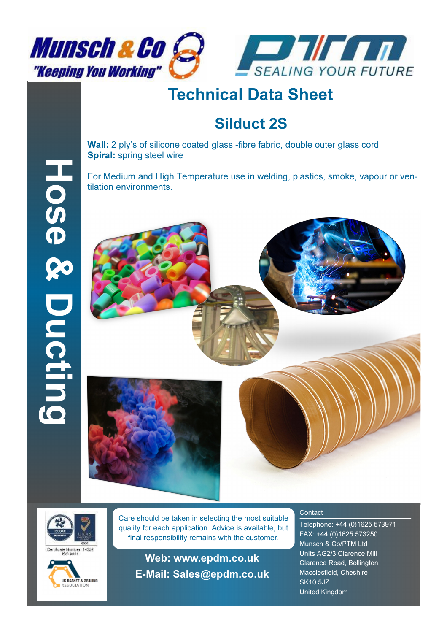



## Technical Data Sheet

## Silduct 2S

Wall: 2 ply's of silicone coated glass -fibre fabric, double outer glass cord Spiral: spring steel wire

For Medium and High Temperature use in welding, plastics, smoke, vapour or ventilation environments.





Hose & Ducting

Hose & Ducting



Care should be taken in selecting the most suitable quality for each application. Advice is available, but final responsibility remains with the customer.

Web: www.epdm.co.uk E**-**Mail: Sales@epdm.co.uk

## **Contact**

Telephone: +44 (0)1625 573971 FAX: +44 (0)1625 573250 Munsch & Co/PTM Ltd Units AG2/3 Clarence Mill Clarence Road, Bollington Macclesfield, Cheshire SK10 5JZ United Kingdom